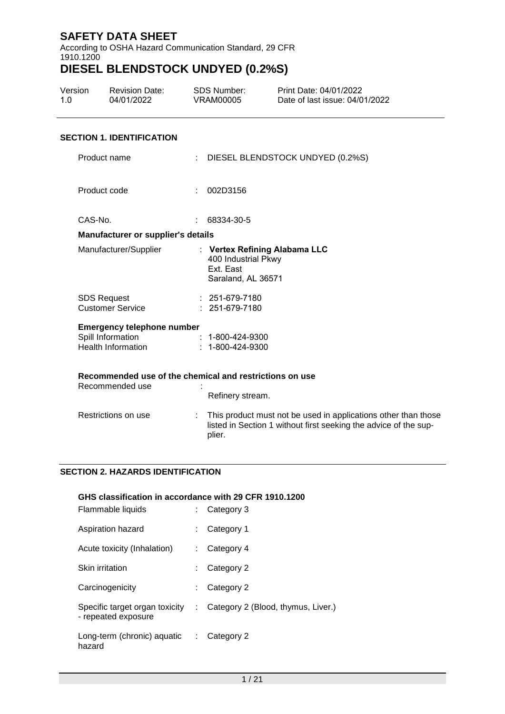According to OSHA Hazard Communication Standard, 29 CFR 1910.1200

# **DIESEL BLENDSTOCK UNDYED (0.2%S)**

| Version | <b>Revision Date:</b> | SDS Number: | Print Date: 04/01/2022         |
|---------|-----------------------|-------------|--------------------------------|
| 1.0     | 04/01/2022            | VRAM00005   | Date of last issue: 04/01/2022 |

#### **SECTION 1. IDENTIFICATION**

| Product name                                                                        |    | : DIESEL BLENDSTOCK UNDYED (0.2%S)                                                                                                           |
|-------------------------------------------------------------------------------------|----|----------------------------------------------------------------------------------------------------------------------------------------------|
| Product code                                                                        |    | 002D3156                                                                                                                                     |
| CAS-No.                                                                             | ÷. | 68334-30-5                                                                                                                                   |
| <b>Manufacturer or supplier's details</b>                                           |    |                                                                                                                                              |
| Manufacturer/Supplier                                                               |    | : Vertex Refining Alabama LLC<br>400 Industrial Pkwy<br>Ext. East<br>Saraland, AL 36571                                                      |
| <b>SDS Request</b><br><b>Customer Service</b>                                       |    | $: 251-679-7180$<br>$: 251-679-7180$                                                                                                         |
| <b>Emergency telephone number</b><br>Spill Information<br><b>Health Information</b> |    | $: 1 - 800 - 424 - 9300$<br>$: 1 - 800 - 424 - 9300$                                                                                         |
| Recommended use                                                                     |    | Recommended use of the chemical and restrictions on use<br>Refinery stream.                                                                  |
| Restrictions on use                                                                 |    | This product must not be used in applications other than those<br>listed in Section 1 without first seeking the advice of the sup-<br>plier. |

#### **SECTION 2. HAZARDS IDENTIFICATION**

#### **GHS classification in accordance with 29 CFR 1910.1200**

| Flammable liquids                                     |    | Category 3                           |
|-------------------------------------------------------|----|--------------------------------------|
| Aspiration hazard                                     |    | Category 1                           |
| Acute toxicity (Inhalation)                           |    | Category 4                           |
| <b>Skin irritation</b>                                |    | Category 2                           |
| Carcinogenicity                                       |    | Category 2                           |
| Specific target organ toxicity<br>- repeated exposure |    | : Category 2 (Blood, thymus, Liver.) |
| Long-term (chronic) aquatic<br>hazard                 | ÷. | Category 2                           |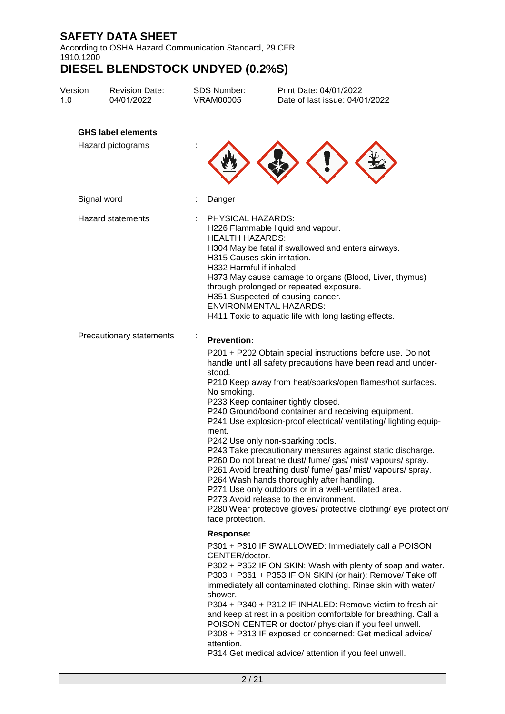According to OSHA Hazard Communication Standard, 29 CFR 1910.1200

| Version<br>1.0 | <b>Revision Date:</b><br>04/01/2022            | <b>SDS Number:</b><br><b>VRAM00005</b>                                                                  | Print Date: 04/01/2022<br>Date of last issue: 04/01/2022                                                                                                                                                                                                                                                                                                                                                                                                                                                                                                                                                                                                                                                                                                                                                         |
|----------------|------------------------------------------------|---------------------------------------------------------------------------------------------------------|------------------------------------------------------------------------------------------------------------------------------------------------------------------------------------------------------------------------------------------------------------------------------------------------------------------------------------------------------------------------------------------------------------------------------------------------------------------------------------------------------------------------------------------------------------------------------------------------------------------------------------------------------------------------------------------------------------------------------------------------------------------------------------------------------------------|
|                | <b>GHS label elements</b><br>Hazard pictograms |                                                                                                         |                                                                                                                                                                                                                                                                                                                                                                                                                                                                                                                                                                                                                                                                                                                                                                                                                  |
|                | Signal word                                    | Danger                                                                                                  |                                                                                                                                                                                                                                                                                                                                                                                                                                                                                                                                                                                                                                                                                                                                                                                                                  |
|                | <b>Hazard statements</b>                       | PHYSICAL HAZARDS:<br><b>HEALTH HAZARDS:</b><br>H315 Causes skin irritation.<br>H332 Harmful if inhaled. | H226 Flammable liquid and vapour.<br>H304 May be fatal if swallowed and enters airways.<br>H373 May cause damage to organs (Blood, Liver, thymus)<br>through prolonged or repeated exposure.<br>H351 Suspected of causing cancer.<br><b>ENVIRONMENTAL HAZARDS:</b><br>H411 Toxic to aquatic life with long lasting effects.                                                                                                                                                                                                                                                                                                                                                                                                                                                                                      |
|                | Precautionary statements                       | <b>Prevention:</b><br>stood.<br>No smoking.<br>ment.<br>face protection.                                | P201 + P202 Obtain special instructions before use. Do not<br>handle until all safety precautions have been read and under-<br>P210 Keep away from heat/sparks/open flames/hot surfaces.<br>P233 Keep container tightly closed.<br>P240 Ground/bond container and receiving equipment.<br>P241 Use explosion-proof electrical/ ventilating/ lighting equip-<br>P242 Use only non-sparking tools.<br>P243 Take precautionary measures against static discharge.<br>P260 Do not breathe dust/ fume/ gas/ mist/ vapours/ spray.<br>P261 Avoid breathing dust/ fume/ gas/ mist/ vapours/ spray.<br>P264 Wash hands thoroughly after handling.<br>P271 Use only outdoors or in a well-ventilated area.<br>P273 Avoid release to the environment.<br>P280 Wear protective gloves/ protective clothing/ eye protection/ |
|                |                                                | <b>Response:</b><br>CENTER/doctor.<br>shower.<br>attention.                                             | P301 + P310 IF SWALLOWED: Immediately call a POISON<br>P302 + P352 IF ON SKIN: Wash with plenty of soap and water.<br>P303 + P361 + P353 IF ON SKIN (or hair): Remove/ Take off<br>immediately all contaminated clothing. Rinse skin with water/<br>P304 + P340 + P312 IF INHALED: Remove victim to fresh air<br>and keep at rest in a position comfortable for breathing. Call a<br>POISON CENTER or doctor/ physician if you feel unwell.<br>P308 + P313 IF exposed or concerned: Get medical advice/<br>P314 Get medical advice/ attention if you feel unwell.                                                                                                                                                                                                                                                |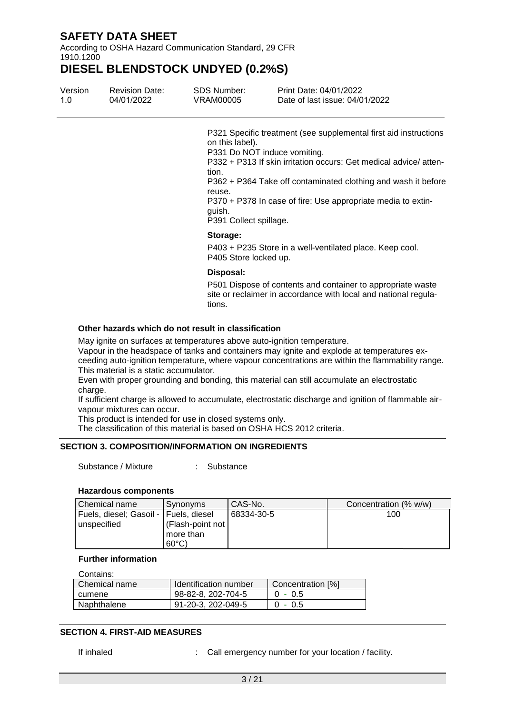According to OSHA Hazard Communication Standard, 29 CFR 1910.1200

# **DIESEL BLENDSTOCK UNDYED (0.2%S)**

| Version | <b>Revision Date:</b> | <b>SDS Number:</b> | Print Date: 04/01/2022         |
|---------|-----------------------|--------------------|--------------------------------|
| 1.0     | 04/01/2022            | VRAM00005          | Date of last issue: 04/01/2022 |

P321 Specific treatment (see supplemental first aid instructions on this label).

P331 Do NOT induce vomiting.

P332 + P313 If skin irritation occurs: Get medical advice/ attention.

P362 + P364 Take off contaminated clothing and wash it before reuse.

P370 + P378 In case of fire: Use appropriate media to extinguish.

P391 Collect spillage.

#### **Storage:**

P403 + P235 Store in a well-ventilated place. Keep cool. P405 Store locked up.

#### **Disposal:**

P501 Dispose of contents and container to appropriate waste site or reclaimer in accordance with local and national regulations.

#### **Other hazards which do not result in classification**

May ignite on surfaces at temperatures above auto-ignition temperature.

Vapour in the headspace of tanks and containers may ignite and explode at temperatures exceeding auto-ignition temperature, where vapour concentrations are within the flammability range.

This material is a static accumulator.

Even with proper grounding and bonding, this material can still accumulate an electrostatic charge.

If sufficient charge is allowed to accumulate, electrostatic discharge and ignition of flammable airvapour mixtures can occur.

This product is intended for use in closed systems only.

The classification of this material is based on OSHA HCS 2012 criteria.

#### **SECTION 3. COMPOSITION/INFORMATION ON INGREDIENTS**

Substance / Mixture : Substance

#### **Hazardous components**

| l Chemical name                                        | Synonyms                                          | CAS-No.    | Concentration (% w/w) |
|--------------------------------------------------------|---------------------------------------------------|------------|-----------------------|
| Fuels, diesel; Gasoil -   Fuels, diesel<br>unspecified | (Flash-point not)<br>more than<br>$60^{\circ}$ C) | 68334-30-5 | 100                   |

#### **Further information**

Contains:

| Chemical name | Identification number | Concentration [%] |
|---------------|-----------------------|-------------------|
| cumene        | 98-82-8. 202-704-5    | $0 - 0.5$         |
| Naphthalene   | 91-20-3, 202-049-5    | $0 - 0.5$         |

#### **SECTION 4. FIRST-AID MEASURES**

If inhaled : Call emergency number for your location / facility.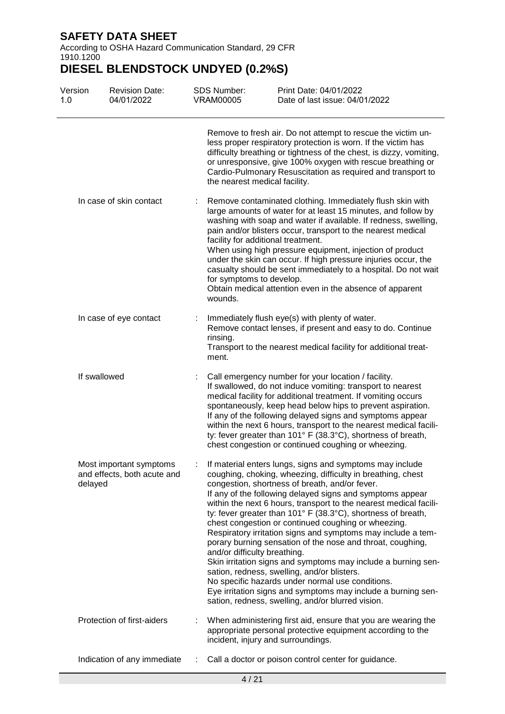According to OSHA Hazard Communication Standard, 29 CFR 1910.1200

| Version<br>1.0 | <b>Revision Date:</b><br>04/01/2022                    |    | SDS Number:<br><b>VRAM00005</b>     | Print Date: 04/01/2022<br>Date of last issue: 04/01/2022                                                                                                                                                                                                                                                                                                                                                                                                                                                                                                                                                                                                                                                                                                                                                                                                  |
|----------------|--------------------------------------------------------|----|-------------------------------------|-----------------------------------------------------------------------------------------------------------------------------------------------------------------------------------------------------------------------------------------------------------------------------------------------------------------------------------------------------------------------------------------------------------------------------------------------------------------------------------------------------------------------------------------------------------------------------------------------------------------------------------------------------------------------------------------------------------------------------------------------------------------------------------------------------------------------------------------------------------|
|                |                                                        |    | the nearest medical facility.       | Remove to fresh air. Do not attempt to rescue the victim un-<br>less proper respiratory protection is worn. If the victim has<br>difficulty breathing or tightness of the chest, is dizzy, vomiting,<br>or unresponsive, give 100% oxygen with rescue breathing or<br>Cardio-Pulmonary Resuscitation as required and transport to                                                                                                                                                                                                                                                                                                                                                                                                                                                                                                                         |
|                | In case of skin contact                                |    | for symptoms to develop.<br>wounds. | Remove contaminated clothing. Immediately flush skin with<br>large amounts of water for at least 15 minutes, and follow by<br>washing with soap and water if available. If redness, swelling,<br>pain and/or blisters occur, transport to the nearest medical<br>facility for additional treatment.<br>When using high pressure equipment, injection of product<br>under the skin can occur. If high pressure injuries occur, the<br>casualty should be sent immediately to a hospital. Do not wait<br>Obtain medical attention even in the absence of apparent                                                                                                                                                                                                                                                                                           |
|                | In case of eye contact                                 | ÷. | rinsing.<br>ment.                   | Immediately flush eye(s) with plenty of water.<br>Remove contact lenses, if present and easy to do. Continue<br>Transport to the nearest medical facility for additional treat-                                                                                                                                                                                                                                                                                                                                                                                                                                                                                                                                                                                                                                                                           |
|                | If swallowed                                           |    |                                     | Call emergency number for your location / facility.<br>If swallowed, do not induce vomiting: transport to nearest<br>medical facility for additional treatment. If vomiting occurs<br>spontaneously, keep head below hips to prevent aspiration.<br>If any of the following delayed signs and symptoms appear<br>within the next 6 hours, transport to the nearest medical facili-<br>ty: fever greater than 101° F (38.3°C), shortness of breath,<br>chest congestion or continued coughing or wheezing.                                                                                                                                                                                                                                                                                                                                                 |
| delayed        | Most important symptoms<br>and effects, both acute and |    | and/or difficulty breathing.        | If material enters lungs, signs and symptoms may include<br>coughing, choking, wheezing, difficulty in breathing, chest<br>congestion, shortness of breath, and/or fever.<br>If any of the following delayed signs and symptoms appear<br>within the next 6 hours, transport to the nearest medical facili-<br>ty: fever greater than 101° F (38.3°C), shortness of breath,<br>chest congestion or continued coughing or wheezing.<br>Respiratory irritation signs and symptoms may include a tem-<br>porary burning sensation of the nose and throat, coughing,<br>Skin irritation signs and symptoms may include a burning sen-<br>sation, redness, swelling, and/or blisters.<br>No specific hazards under normal use conditions.<br>Eye irritation signs and symptoms may include a burning sen-<br>sation, redness, swelling, and/or blurred vision. |
|                | Protection of first-aiders                             |    |                                     | When administering first aid, ensure that you are wearing the<br>appropriate personal protective equipment according to the<br>incident, injury and surroundings.                                                                                                                                                                                                                                                                                                                                                                                                                                                                                                                                                                                                                                                                                         |
|                | Indication of any immediate                            | ÷  |                                     | Call a doctor or poison control center for guidance.                                                                                                                                                                                                                                                                                                                                                                                                                                                                                                                                                                                                                                                                                                                                                                                                      |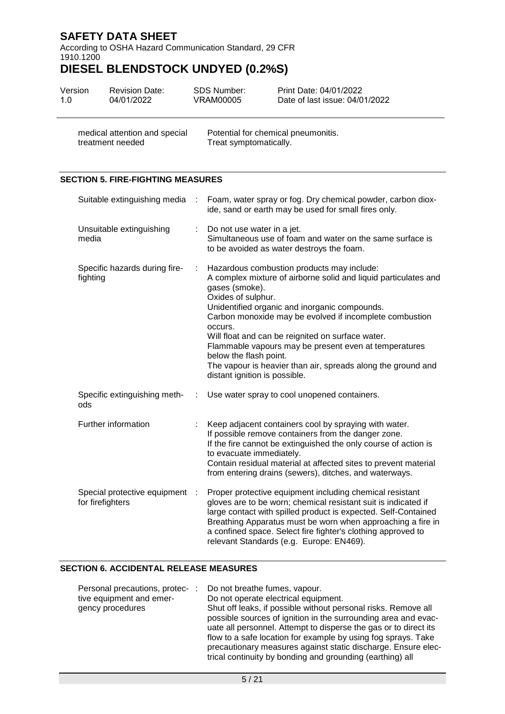According to OSHA Hazard Communication Standard, 29 CFR 1910.1200

# **DIESEL BLENDSTOCK UNDYED (0.2%S)**

| Version | <b>Revision Date:</b> | SDS Number: | Print Date: 04/01/2022         |
|---------|-----------------------|-------------|--------------------------------|
| 1 በ     | 04/01/2022            | VRAM00005   | Date of last issue: 04/01/2022 |
|         |                       |             |                                |

medical attention and special treatment needed

Potential for chemical pneumonitis. Treat symptomatically.

#### **SECTION 5. FIRE-FIGHTING MEASURES**

| Suitable extinguishing media                     |      | Foam, water spray or fog. Dry chemical powder, carbon diox-<br>ide, sand or earth may be used for small fires only.                                                                                                                                                                                                                                                                                                                                                                                                   |
|--------------------------------------------------|------|-----------------------------------------------------------------------------------------------------------------------------------------------------------------------------------------------------------------------------------------------------------------------------------------------------------------------------------------------------------------------------------------------------------------------------------------------------------------------------------------------------------------------|
| Unsuitable extinguishing<br>media                |      | Do not use water in a jet.<br>Simultaneous use of foam and water on the same surface is<br>to be avoided as water destroys the foam.                                                                                                                                                                                                                                                                                                                                                                                  |
| Specific hazards during fire-<br>fighting        | ÷    | Hazardous combustion products may include:<br>A complex mixture of airborne solid and liquid particulates and<br>gases (smoke).<br>Oxides of sulphur.<br>Unidentified organic and inorganic compounds.<br>Carbon monoxide may be evolved if incomplete combustion<br>occurs.<br>Will float and can be reignited on surface water.<br>Flammable vapours may be present even at temperatures<br>below the flash point.<br>The vapour is heavier than air, spreads along the ground and<br>distant ignition is possible. |
| Specific extinguishing meth-<br>ods              | ÷    | Use water spray to cool unopened containers.                                                                                                                                                                                                                                                                                                                                                                                                                                                                          |
| Further information                              |      | Keep adjacent containers cool by spraying with water.<br>If possible remove containers from the danger zone.<br>If the fire cannot be extinguished the only course of action is<br>to evacuate immediately.<br>Contain residual material at affected sites to prevent material<br>from entering drains (sewers), ditches, and waterways.                                                                                                                                                                              |
| Special protective equipment<br>for firefighters | - 11 | Proper protective equipment including chemical resistant<br>gloves are to be worn; chemical resistant suit is indicated if<br>large contact with spilled product is expected. Self-Contained<br>Breathing Apparatus must be worn when approaching a fire in<br>a confined space. Select fire fighter's clothing approved to<br>relevant Standards (e.g. Europe: EN469).                                                                                                                                               |

#### **SECTION 6. ACCIDENTAL RELEASE MEASURES**

| Personal precautions, protec- |  | Do not breathe fumes, vapour.                                    |
|-------------------------------|--|------------------------------------------------------------------|
| tive equipment and emer-      |  | Do not operate electrical equipment.                             |
| gency procedures              |  | Shut off leaks, if possible without personal risks. Remove all   |
|                               |  | possible sources of ignition in the surrounding area and evac-   |
|                               |  | uate all personnel. Attempt to disperse the gas or to direct its |
|                               |  | flow to a safe location for example by using fog sprays. Take    |
|                               |  | precautionary measures against static discharge. Ensure elec-    |
|                               |  | trical continuity by bonding and grounding (earthing) all        |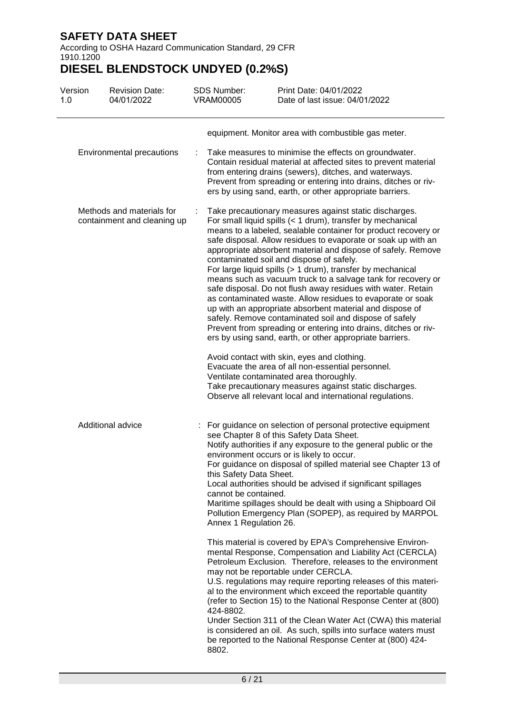According to OSHA Hazard Communication Standard, 29 CFR 1910.1200

| Version<br>1.0 | <b>Revision Date:</b><br>04/01/2022                      |   | <b>SDS Number:</b><br><b>VRAM00005</b>                                    | Print Date: 04/01/2022<br>Date of last issue: 04/01/2022                                                                                                                                                                                                                                                                                                                                                                                                                                                                                                                                                                                                                                                                                                                                                                                                                             |
|----------------|----------------------------------------------------------|---|---------------------------------------------------------------------------|--------------------------------------------------------------------------------------------------------------------------------------------------------------------------------------------------------------------------------------------------------------------------------------------------------------------------------------------------------------------------------------------------------------------------------------------------------------------------------------------------------------------------------------------------------------------------------------------------------------------------------------------------------------------------------------------------------------------------------------------------------------------------------------------------------------------------------------------------------------------------------------|
|                |                                                          |   |                                                                           | equipment. Monitor area with combustible gas meter.                                                                                                                                                                                                                                                                                                                                                                                                                                                                                                                                                                                                                                                                                                                                                                                                                                  |
|                | Environmental precautions                                | ÷ |                                                                           | Take measures to minimise the effects on groundwater.<br>Contain residual material at affected sites to prevent material<br>from entering drains (sewers), ditches, and waterways.<br>Prevent from spreading or entering into drains, ditches or riv-<br>ers by using sand, earth, or other appropriate barriers.                                                                                                                                                                                                                                                                                                                                                                                                                                                                                                                                                                    |
|                | Methods and materials for<br>containment and cleaning up |   |                                                                           | Take precautionary measures against static discharges.<br>For small liquid spills (< 1 drum), transfer by mechanical<br>means to a labeled, sealable container for product recovery or<br>safe disposal. Allow residues to evaporate or soak up with an<br>appropriate absorbent material and dispose of safely. Remove<br>contaminated soil and dispose of safely.<br>For large liquid spills (> 1 drum), transfer by mechanical<br>means such as vacuum truck to a salvage tank for recovery or<br>safe disposal. Do not flush away residues with water. Retain<br>as contaminated waste. Allow residues to evaporate or soak<br>up with an appropriate absorbent material and dispose of<br>safely. Remove contaminated soil and dispose of safely<br>Prevent from spreading or entering into drains, ditches or riv-<br>ers by using sand, earth, or other appropriate barriers. |
|                |                                                          |   |                                                                           | Avoid contact with skin, eyes and clothing.<br>Evacuate the area of all non-essential personnel.<br>Ventilate contaminated area thoroughly.<br>Take precautionary measures against static discharges.<br>Observe all relevant local and international regulations.                                                                                                                                                                                                                                                                                                                                                                                                                                                                                                                                                                                                                   |
|                | Additional advice                                        |   | this Safety Data Sheet.<br>cannot be contained.<br>Annex 1 Regulation 26. | : For guidance on selection of personal protective equipment<br>see Chapter 8 of this Safety Data Sheet.<br>Notify authorities if any exposure to the general public or the<br>environment occurs or is likely to occur.<br>For guidance on disposal of spilled material see Chapter 13 of<br>Local authorities should be advised if significant spillages<br>Maritime spillages should be dealt with using a Shipboard Oil<br>Pollution Emergency Plan (SOPEP), as required by MARPOL                                                                                                                                                                                                                                                                                                                                                                                               |
|                |                                                          |   | 424-8802.<br>8802.                                                        | This material is covered by EPA's Comprehensive Environ-<br>mental Response, Compensation and Liability Act (CERCLA)<br>Petroleum Exclusion. Therefore, releases to the environment<br>may not be reportable under CERCLA.<br>U.S. regulations may require reporting releases of this materi-<br>al to the environment which exceed the reportable quantity<br>(refer to Section 15) to the National Response Center at (800)<br>Under Section 311 of the Clean Water Act (CWA) this material<br>is considered an oil. As such, spills into surface waters must<br>be reported to the National Response Center at (800) 424-                                                                                                                                                                                                                                                         |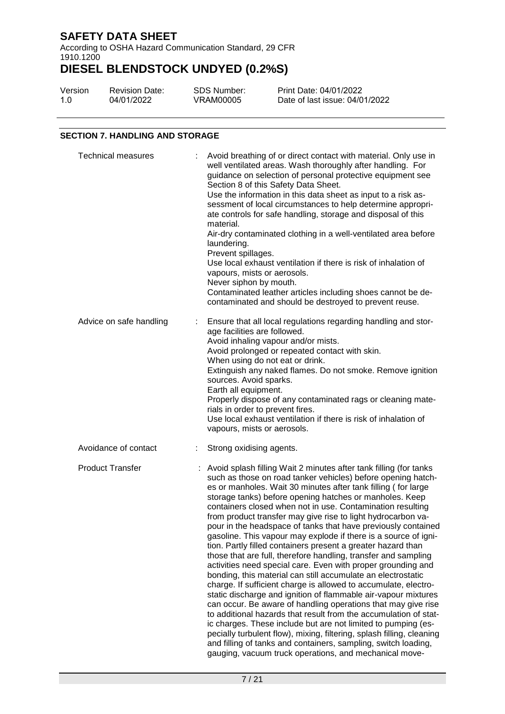According to OSHA Hazard Communication Standard, 29 CFR 1910.1200

# **DIESEL BLENDSTOCK UNDYED (0.2%S)**

SDS Number: VRAM00005

| Version | <b>Revision Date:</b> |
|---------|-----------------------|
| 1.0     | 04/01/2022            |

Print Date: 04/01/2022 Date of last issue: 04/01/2022

#### **SECTION 7. HANDLING AND STORAGE**

| <b>Technical measures</b> |    | Avoid breathing of or direct contact with material. Only use in<br>well ventilated areas. Wash thoroughly after handling. For<br>guidance on selection of personal protective equipment see<br>Section 8 of this Safety Data Sheet.<br>Use the information in this data sheet as input to a risk as-<br>sessment of local circumstances to help determine appropri-<br>ate controls for safe handling, storage and disposal of this<br>material.<br>Air-dry contaminated clothing in a well-ventilated area before<br>laundering.<br>Prevent spillages.<br>Use local exhaust ventilation if there is risk of inhalation of<br>vapours, mists or aerosols.<br>Never siphon by mouth.<br>Contaminated leather articles including shoes cannot be de-<br>contaminated and should be destroyed to prevent reuse.                                                                                                                                                                                                                                                                                                                                                                                                                                                                                                                                      |
|---------------------------|----|---------------------------------------------------------------------------------------------------------------------------------------------------------------------------------------------------------------------------------------------------------------------------------------------------------------------------------------------------------------------------------------------------------------------------------------------------------------------------------------------------------------------------------------------------------------------------------------------------------------------------------------------------------------------------------------------------------------------------------------------------------------------------------------------------------------------------------------------------------------------------------------------------------------------------------------------------------------------------------------------------------------------------------------------------------------------------------------------------------------------------------------------------------------------------------------------------------------------------------------------------------------------------------------------------------------------------------------------------|
| Advice on safe handling   | ÷. | Ensure that all local regulations regarding handling and stor-<br>age facilities are followed.<br>Avoid inhaling vapour and/or mists.<br>Avoid prolonged or repeated contact with skin.<br>When using do not eat or drink.<br>Extinguish any naked flames. Do not smoke. Remove ignition<br>sources. Avoid sparks.<br>Earth all equipment.<br>Properly dispose of any contaminated rags or cleaning mate-<br>rials in order to prevent fires.<br>Use local exhaust ventilation if there is risk of inhalation of<br>vapours, mists or aerosols.                                                                                                                                                                                                                                                                                                                                                                                                                                                                                                                                                                                                                                                                                                                                                                                                   |
| Avoidance of contact      |    | Strong oxidising agents.                                                                                                                                                                                                                                                                                                                                                                                                                                                                                                                                                                                                                                                                                                                                                                                                                                                                                                                                                                                                                                                                                                                                                                                                                                                                                                                          |
| <b>Product Transfer</b>   |    | Avoid splash filling Wait 2 minutes after tank filling (for tanks<br>such as those on road tanker vehicles) before opening hatch-<br>es or manholes. Wait 30 minutes after tank filling (for large<br>storage tanks) before opening hatches or manholes. Keep<br>containers closed when not in use. Contamination resulting<br>from product transfer may give rise to light hydrocarbon va-<br>pour in the headspace of tanks that have previously contained<br>gasoline. This vapour may explode if there is a source of igni-<br>tion. Partly filled containers present a greater hazard than<br>those that are full, therefore handling, transfer and sampling<br>activities need special care. Even with proper grounding and<br>bonding, this material can still accumulate an electrostatic<br>charge. If sufficient charge is allowed to accumulate, electro-<br>static discharge and ignition of flammable air-vapour mixtures<br>can occur. Be aware of handling operations that may give rise<br>to additional hazards that result from the accumulation of stat-<br>ic charges. These include but are not limited to pumping (es-<br>pecially turbulent flow), mixing, filtering, splash filling, cleaning<br>and filling of tanks and containers, sampling, switch loading,<br>gauging, vacuum truck operations, and mechanical move- |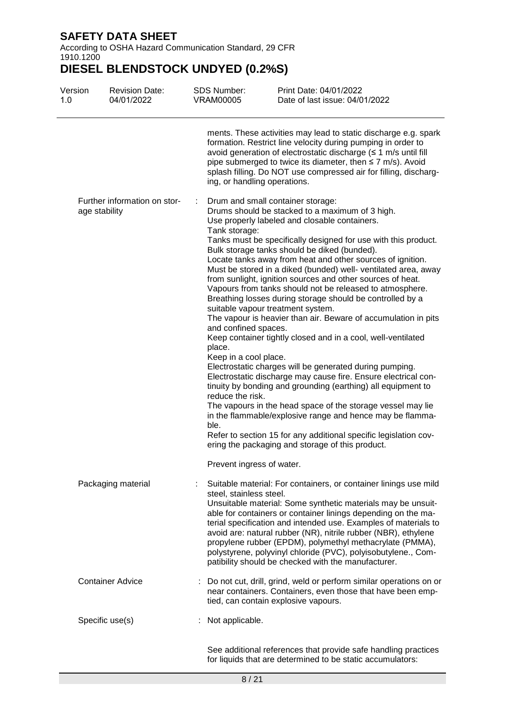According to OSHA Hazard Communication Standard, 29 CFR 1910.1200

| Version<br>1.0 | <b>Revision Date:</b><br>04/01/2022           | <b>SDS Number:</b><br><b>VRAM00005</b>                                                                                                 | Print Date: 04/01/2022<br>Date of last issue: 04/01/2022                                                                                                                                                                                                                                                                                                                                                                                                                                                                                                                                                                                                                                                                                                                                                                                                                                                                                                                                                                                                                                                                                                                                               |
|----------------|-----------------------------------------------|----------------------------------------------------------------------------------------------------------------------------------------|--------------------------------------------------------------------------------------------------------------------------------------------------------------------------------------------------------------------------------------------------------------------------------------------------------------------------------------------------------------------------------------------------------------------------------------------------------------------------------------------------------------------------------------------------------------------------------------------------------------------------------------------------------------------------------------------------------------------------------------------------------------------------------------------------------------------------------------------------------------------------------------------------------------------------------------------------------------------------------------------------------------------------------------------------------------------------------------------------------------------------------------------------------------------------------------------------------|
|                |                                               | ing, or handling operations.                                                                                                           | ments. These activities may lead to static discharge e.g. spark<br>formation. Restrict line velocity during pumping in order to<br>avoid generation of electrostatic discharge $( \leq 1 \text{ m/s}$ until fill<br>pipe submerged to twice its diameter, then $\leq$ 7 m/s). Avoid<br>splash filling. Do NOT use compressed air for filling, discharg-                                                                                                                                                                                                                                                                                                                                                                                                                                                                                                                                                                                                                                                                                                                                                                                                                                                |
|                | Further information on stor-<br>age stability | ÷<br>Tank storage:<br>and confined spaces.<br>place.<br>Keep in a cool place.<br>reduce the risk.<br>ble.<br>Prevent ingress of water. | Drum and small container storage:<br>Drums should be stacked to a maximum of 3 high.<br>Use properly labeled and closable containers.<br>Tanks must be specifically designed for use with this product.<br>Bulk storage tanks should be diked (bunded).<br>Locate tanks away from heat and other sources of ignition.<br>Must be stored in a diked (bunded) well- ventilated area, away<br>from sunlight, ignition sources and other sources of heat.<br>Vapours from tanks should not be released to atmosphere.<br>Breathing losses during storage should be controlled by a<br>suitable vapour treatment system.<br>The vapour is heavier than air. Beware of accumulation in pits<br>Keep container tightly closed and in a cool, well-ventilated<br>Electrostatic charges will be generated during pumping.<br>Electrostatic discharge may cause fire. Ensure electrical con-<br>tinuity by bonding and grounding (earthing) all equipment to<br>The vapours in the head space of the storage vessel may lie<br>in the flammable/explosive range and hence may be flamma-<br>Refer to section 15 for any additional specific legislation cov-<br>ering the packaging and storage of this product. |
|                |                                               |                                                                                                                                        |                                                                                                                                                                                                                                                                                                                                                                                                                                                                                                                                                                                                                                                                                                                                                                                                                                                                                                                                                                                                                                                                                                                                                                                                        |
|                | Packaging material                            | steel, stainless steel.                                                                                                                | Suitable material: For containers, or container linings use mild<br>Unsuitable material: Some synthetic materials may be unsuit-<br>able for containers or container linings depending on the ma-<br>terial specification and intended use. Examples of materials to<br>avoid are: natural rubber (NR), nitrile rubber (NBR), ethylene<br>propylene rubber (EPDM), polymethyl methacrylate (PMMA),<br>polystyrene, polyvinyl chloride (PVC), polyisobutylene., Com-<br>patibility should be checked with the manufacturer.                                                                                                                                                                                                                                                                                                                                                                                                                                                                                                                                                                                                                                                                             |
|                | <b>Container Advice</b>                       |                                                                                                                                        | Do not cut, drill, grind, weld or perform similar operations on or<br>near containers. Containers, even those that have been emp-<br>tied, can contain explosive vapours.                                                                                                                                                                                                                                                                                                                                                                                                                                                                                                                                                                                                                                                                                                                                                                                                                                                                                                                                                                                                                              |
|                | Specific use(s)                               | Not applicable.                                                                                                                        |                                                                                                                                                                                                                                                                                                                                                                                                                                                                                                                                                                                                                                                                                                                                                                                                                                                                                                                                                                                                                                                                                                                                                                                                        |
|                |                                               |                                                                                                                                        | See additional references that provide safe handling practices<br>for liquids that are determined to be static accumulators:                                                                                                                                                                                                                                                                                                                                                                                                                                                                                                                                                                                                                                                                                                                                                                                                                                                                                                                                                                                                                                                                           |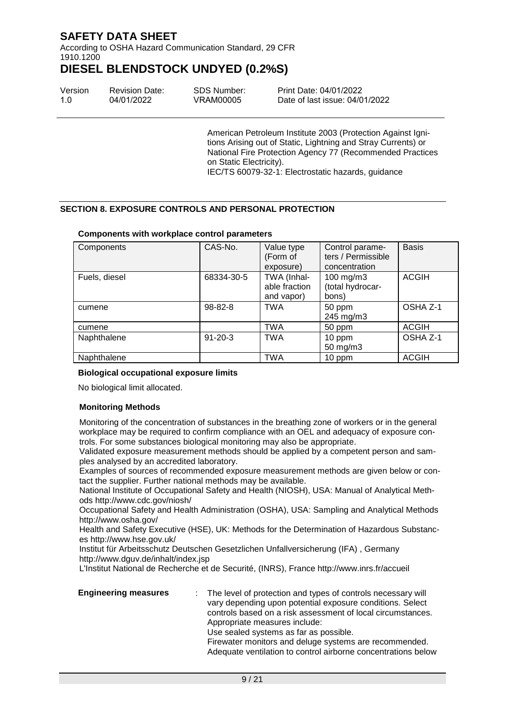According to OSHA Hazard Communication Standard, 29 CFR 1910.1200

# **DIESEL BLENDSTOCK UNDYED (0.2%S)**

| Version | <b>Revision Date:</b> | SDS Number: |
|---------|-----------------------|-------------|
| 1.0     | 04/01/2022            | VRAM00005   |

Print Date: 04/01/2022 Date of last issue: 04/01/2022

American Petroleum Institute 2003 (Protection Against Ignitions Arising out of Static, Lightning and Stray Currents) or National Fire Protection Agency 77 (Recommended Practices on Static Electricity). IEC/TS 60079-32-1: Electrostatic hazards, guidance

### **SECTION 8. EXPOSURE CONTROLS AND PERSONAL PROTECTION**

#### **Components with workplace control parameters**

| Components    | CAS-No.       | Value type<br>(Form of<br>exposure)        | Control parame-<br>ters / Permissible<br>concentration | <b>Basis</b> |
|---------------|---------------|--------------------------------------------|--------------------------------------------------------|--------------|
| Fuels, diesel | 68334-30-5    | TWA (Inhal-<br>able fraction<br>and vapor) | $100$ mg/m $3$<br>(total hydrocar-<br>bons)            | <b>ACGIH</b> |
| cumene        | $98 - 82 - 8$ | <b>TWA</b>                                 | 50 ppm<br>245 mg/m3                                    | OSHA Z-1     |
| cumene        |               | <b>TWA</b>                                 | 50 ppm                                                 | <b>ACGIH</b> |
| Naphthalene   | $91 - 20 - 3$ | <b>TWA</b>                                 | 10 ppm<br>50 mg/m3                                     | OSHA Z-1     |
| Naphthalene   |               | <b>TWA</b>                                 | 10 ppm                                                 | <b>ACGIH</b> |

#### **Biological occupational exposure limits**

No biological limit allocated.

#### **Monitoring Methods**

Monitoring of the concentration of substances in the breathing zone of workers or in the general workplace may be required to confirm compliance with an OEL and adequacy of exposure controls. For some substances biological monitoring may also be appropriate.

Validated exposure measurement methods should be applied by a competent person and samples analysed by an accredited laboratory.

Examples of sources of recommended exposure measurement methods are given below or contact the supplier. Further national methods may be available.

National Institute of Occupational Safety and Health (NIOSH), USA: Manual of Analytical Methods http://www.cdc.gov/niosh/

Occupational Safety and Health Administration (OSHA), USA: Sampling and Analytical Methods http://www.osha.gov/

Health and Safety Executive (HSE), UK: Methods for the Determination of Hazardous Substances http://www.hse.gov.uk/

Institut für Arbeitsschutz Deutschen Gesetzlichen Unfallversicherung (IFA) , Germany http://www.dguv.de/inhalt/index.jsp

L'Institut National de Recherche et de Securité, (INRS), France http://www.inrs.fr/accueil

**Engineering measures** : The level of protection and types of controls necessary will vary depending upon potential exposure conditions. Select controls based on a risk assessment of local circumstances. Appropriate measures include: Use sealed systems as far as possible. Firewater monitors and deluge systems are recommended. Adequate ventilation to control airborne concentrations below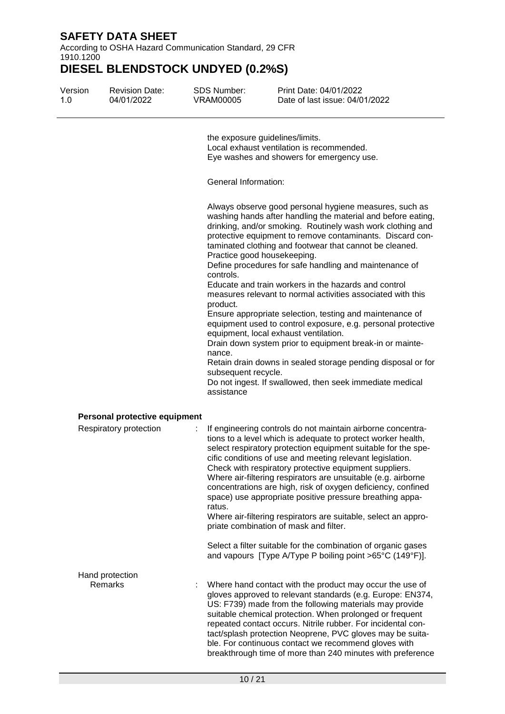According to OSHA Hazard Communication Standard, 29 CFR 1910.1200

# **DIESEL BLENDSTOCK UNDYED (0.2%S)**

| Version     | <b>Revision Date:</b> |
|-------------|-----------------------|
| 1. $\Omega$ | 04/01/2022            |

SDS Number: VRAM00005

Print Date: 04/01/2022 Date of last issue: 04/01/2022

the exposure guidelines/limits. Local exhaust ventilation is recommended. Eye washes and showers for emergency use.

General Information:

Always observe good personal hygiene measures, such as washing hands after handling the material and before eating, drinking, and/or smoking. Routinely wash work clothing and protective equipment to remove contaminants. Discard contaminated clothing and footwear that cannot be cleaned. Practice good housekeeping.

Define procedures for safe handling and maintenance of controls.

Educate and train workers in the hazards and control measures relevant to normal activities associated with this product.

Ensure appropriate selection, testing and maintenance of equipment used to control exposure, e.g. personal protective equipment, local exhaust ventilation.

Drain down system prior to equipment break-in or maintenance.

Retain drain downs in sealed storage pending disposal or for subsequent recycle.

Do not ingest. If swallowed, then seek immediate medical assistance

#### **Personal protective equipment**

| Respiratory protection | If engineering controls do not maintain airborne concentra-<br>tions to a level which is adequate to protect worker health,<br>select respiratory protection equipment suitable for the spe-<br>cific conditions of use and meeting relevant legislation.<br>Check with respiratory protective equipment suppliers.<br>Where air-filtering respirators are unsuitable (e.g. airborne<br>concentrations are high, risk of oxygen deficiency, confined<br>space) use appropriate positive pressure breathing appa-<br>ratus.<br>Where air-filtering respirators are suitable, select an appro-<br>priate combination of mask and filter.<br>Select a filter suitable for the combination of organic gases |
|------------------------|---------------------------------------------------------------------------------------------------------------------------------------------------------------------------------------------------------------------------------------------------------------------------------------------------------------------------------------------------------------------------------------------------------------------------------------------------------------------------------------------------------------------------------------------------------------------------------------------------------------------------------------------------------------------------------------------------------|
| Hand protection        | and vapours [Type A/Type P boiling point >65°C (149°F)].                                                                                                                                                                                                                                                                                                                                                                                                                                                                                                                                                                                                                                                |
| <b>Remarks</b>         | Where hand contact with the product may occur the use of<br>gloves approved to relevant standards (e.g. Europe: EN374,<br>US: F739) made from the following materials may provide<br>suitable chemical protection. When prolonged or frequent<br>repeated contact occurs. Nitrile rubber. For incidental con-<br>tact/splash protection Neoprene, PVC gloves may be suita-<br>ble. For continuous contact we recommend gloves with<br>breakthrough time of more than 240 minutes with preference                                                                                                                                                                                                        |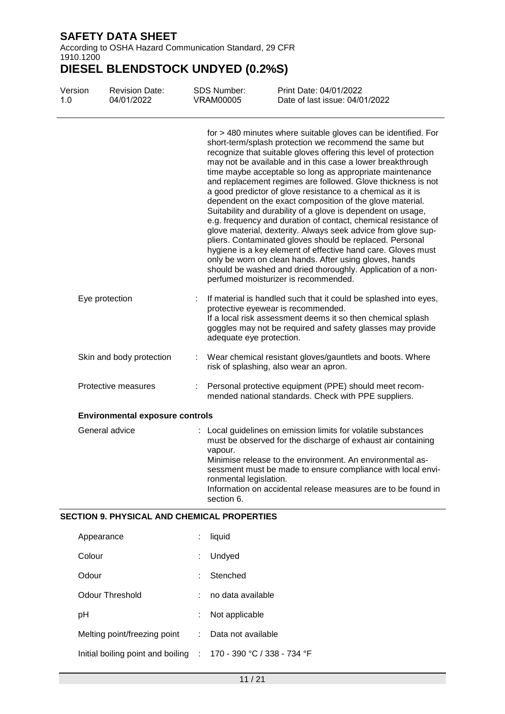According to OSHA Hazard Communication Standard, 29 CFR 1910.1200

# **DIESEL BLENDSTOCK UNDYED (0.2%S)**

| Version<br>1.0 | <b>Revision Date:</b><br>04/01/2022    |   | SDS Number:<br><b>VRAM00005</b>                 | Print Date: 04/01/2022<br>Date of last issue: 04/01/2022                                                                                                                                                                                                                                                                                                                                                                                                                                                                                                                                                                                                                                                                                                                                                                                                                                                                                                                                                            |
|----------------|----------------------------------------|---|-------------------------------------------------|---------------------------------------------------------------------------------------------------------------------------------------------------------------------------------------------------------------------------------------------------------------------------------------------------------------------------------------------------------------------------------------------------------------------------------------------------------------------------------------------------------------------------------------------------------------------------------------------------------------------------------------------------------------------------------------------------------------------------------------------------------------------------------------------------------------------------------------------------------------------------------------------------------------------------------------------------------------------------------------------------------------------|
|                |                                        |   |                                                 | for > 480 minutes where suitable gloves can be identified. For<br>short-term/splash protection we recommend the same but<br>recognize that suitable gloves offering this level of protection<br>may not be available and in this case a lower breakthrough<br>time maybe acceptable so long as appropriate maintenance<br>and replacement regimes are followed. Glove thickness is not<br>a good predictor of glove resistance to a chemical as it is<br>dependent on the exact composition of the glove material.<br>Suitability and durability of a glove is dependent on usage,<br>e.g. frequency and duration of contact, chemical resistance of<br>glove material, dexterity. Always seek advice from glove sup-<br>pliers. Contaminated gloves should be replaced. Personal<br>hygiene is a key element of effective hand care. Gloves must<br>only be worn on clean hands. After using gloves, hands<br>should be washed and dried thoroughly. Application of a non-<br>perfumed moisturizer is recommended. |
|                | Eye protection                         |   | adequate eye protection.                        | If material is handled such that it could be splashed into eyes,<br>protective eyewear is recommended.<br>If a local risk assessment deems it so then chemical splash<br>goggles may not be required and safety glasses may provide                                                                                                                                                                                                                                                                                                                                                                                                                                                                                                                                                                                                                                                                                                                                                                                 |
|                | Skin and body protection               | t |                                                 | Wear chemical resistant gloves/gauntlets and boots. Where<br>risk of splashing, also wear an apron.                                                                                                                                                                                                                                                                                                                                                                                                                                                                                                                                                                                                                                                                                                                                                                                                                                                                                                                 |
|                | Protective measures                    | ÷ |                                                 | Personal protective equipment (PPE) should meet recom-<br>mended national standards. Check with PPE suppliers.                                                                                                                                                                                                                                                                                                                                                                                                                                                                                                                                                                                                                                                                                                                                                                                                                                                                                                      |
|                | <b>Environmental exposure controls</b> |   |                                                 |                                                                                                                                                                                                                                                                                                                                                                                                                                                                                                                                                                                                                                                                                                                                                                                                                                                                                                                                                                                                                     |
|                | General advice                         |   | vapour.<br>ronmental legislation.<br>section 6. | : Local guidelines on emission limits for volatile substances<br>must be observed for the discharge of exhaust air containing<br>Minimise release to the environment. An environmental as-<br>sessment must be made to ensure compliance with local envi-<br>Information on accidental release measures are to be found in                                                                                                                                                                                                                                                                                                                                                                                                                                                                                                                                                                                                                                                                                          |
|                | <b>ATIAN A BUVAIA 41</b>               |   | $\blacksquare$                                  |                                                                                                                                                                                                                                                                                                                                                                                                                                                                                                                                                                                                                                                                                                                                                                                                                                                                                                                                                                                                                     |

#### **SECTION 9. PHYSICAL AND CHEMICAL PROPERTIES**

| Appearance                                                      | t  | liquid             |
|-----------------------------------------------------------------|----|--------------------|
| Colour                                                          | ÷  | Undyed             |
| Odour                                                           | t  | Stenched           |
| Odour Threshold                                                 | t. | no data available  |
| рH                                                              | ÷  | Not applicable     |
| Melting point/freezing point                                    | ÷  | Data not available |
| Initial boiling point and boiling : 170 - 390 °C / 338 - 734 °F |    |                    |
|                                                                 |    |                    |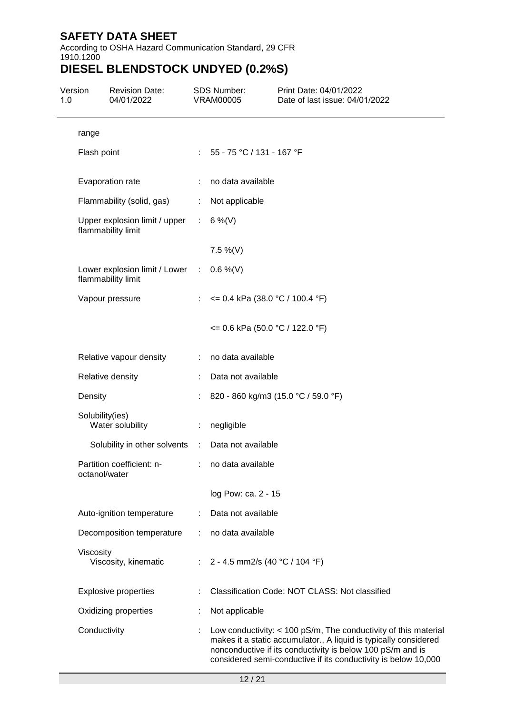According to OSHA Hazard Communication Standard, 29 CFR 1910.1200

| Version<br>1.0 | <b>Revision Date:</b><br>04/01/2022                   | SDS Number:<br><b>VRAM00005</b>             | Print Date: 04/01/2022<br>Date of last issue: 04/01/2022                                                                                                                                                                                                              |
|----------------|-------------------------------------------------------|---------------------------------------------|-----------------------------------------------------------------------------------------------------------------------------------------------------------------------------------------------------------------------------------------------------------------------|
|                | range                                                 |                                             |                                                                                                                                                                                                                                                                       |
|                | Flash point                                           | : $55 - 75 \degree C / 131 - 167 \degree F$ |                                                                                                                                                                                                                                                                       |
|                | Evaporation rate                                      | : no data available                         |                                                                                                                                                                                                                                                                       |
|                | Flammability (solid, gas)                             | Not applicable                              |                                                                                                                                                                                                                                                                       |
|                | Upper explosion limit / upper :<br>flammability limit | 6 %(V)                                      |                                                                                                                                                                                                                                                                       |
|                |                                                       | $7.5 \%$ (V)                                |                                                                                                                                                                                                                                                                       |
|                | Lower explosion limit / Lower :<br>flammability limit | $0.6\%$ (V)                                 |                                                                                                                                                                                                                                                                       |
|                | Vapour pressure                                       | : $\leq$ 0.4 kPa (38.0 °C / 100.4 °F)       |                                                                                                                                                                                                                                                                       |
|                |                                                       | $\epsilon$ = 0.6 kPa (50.0 °C / 122.0 °F)   |                                                                                                                                                                                                                                                                       |
|                | Relative vapour density                               | : no data available                         |                                                                                                                                                                                                                                                                       |
|                | Relative density                                      | Data not available                          |                                                                                                                                                                                                                                                                       |
|                | Density                                               |                                             | 820 - 860 kg/m3 (15.0 °C / 59.0 °F)                                                                                                                                                                                                                                   |
|                | Solubility(ies)<br>Water solubility                   | negligible                                  |                                                                                                                                                                                                                                                                       |
|                | Solubility in other solvents : Data not available     |                                             |                                                                                                                                                                                                                                                                       |
|                | Partition coefficient: n-<br>octanol/water            | : no data available                         |                                                                                                                                                                                                                                                                       |
|                |                                                       | log Pow: ca. 2 - 15                         |                                                                                                                                                                                                                                                                       |
|                | Auto-ignition temperature                             | Data not available                          |                                                                                                                                                                                                                                                                       |
|                | Decomposition temperature                             | no data available                           |                                                                                                                                                                                                                                                                       |
|                | Viscosity<br>Viscosity, kinematic                     | 2 - 4.5 mm2/s (40 °C / 104 °F)              |                                                                                                                                                                                                                                                                       |
|                | <b>Explosive properties</b>                           |                                             | Classification Code: NOT CLASS: Not classified                                                                                                                                                                                                                        |
|                | Oxidizing properties                                  | Not applicable                              |                                                                                                                                                                                                                                                                       |
|                | Conductivity                                          |                                             | Low conductivity: $<$ 100 pS/m, The conductivity of this material<br>makes it a static accumulator., A liquid is typically considered<br>nonconductive if its conductivity is below 100 pS/m and is<br>considered semi-conductive if its conductivity is below 10,000 |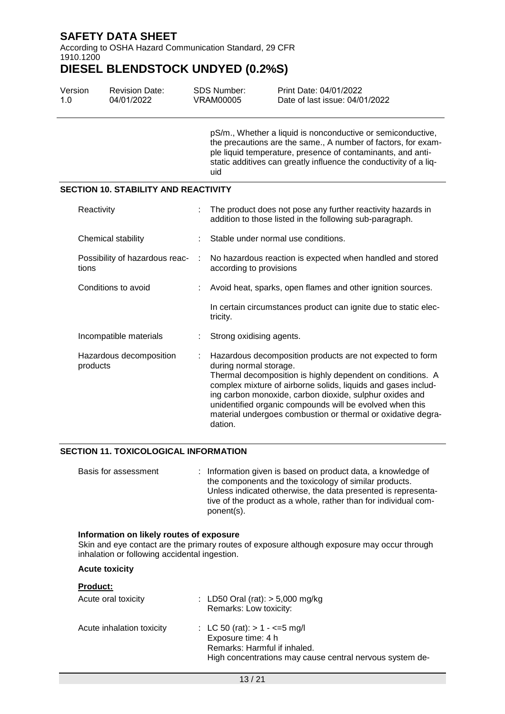According to OSHA Hazard Communication Standard, 29 CFR 1910.1200

# **DIESEL BLENDSTOCK UNDYED (0.2%S)**

| Version | <b>Revision Date:</b> | SDS Number: | Print Date: 04/01/2022         |
|---------|-----------------------|-------------|--------------------------------|
| 1.O     | 04/01/2022            | VRAM00005   | Date of last issue: 04/01/2022 |

pS/m., Whether a liquid is nonconductive or semiconductive, the precautions are the same., A number of factors, for example liquid temperature, presence of contaminants, and antistatic additives can greatly influence the conductivity of a liquid

#### **SECTION 10. STABILITY AND REACTIVITY**

| Reactivity                                | The product does not pose any further reactivity hazards in<br>addition to those listed in the following sub-paragraph.                                                                                                                                                                                                                                                                                              |
|-------------------------------------------|----------------------------------------------------------------------------------------------------------------------------------------------------------------------------------------------------------------------------------------------------------------------------------------------------------------------------------------------------------------------------------------------------------------------|
| Chemical stability                        | Stable under normal use conditions.                                                                                                                                                                                                                                                                                                                                                                                  |
| Possibility of hazardous reac- :<br>tions | No hazardous reaction is expected when handled and stored<br>according to provisions                                                                                                                                                                                                                                                                                                                                 |
| Conditions to avoid                       | Avoid heat, sparks, open flames and other ignition sources.                                                                                                                                                                                                                                                                                                                                                          |
|                                           | In certain circumstances product can ignite due to static elec-<br>tricity.                                                                                                                                                                                                                                                                                                                                          |
| Incompatible materials                    | Strong oxidising agents.                                                                                                                                                                                                                                                                                                                                                                                             |
| Hazardous decomposition<br>products       | Hazardous decomposition products are not expected to form<br>during normal storage.<br>Thermal decomposition is highly dependent on conditions. A<br>complex mixture of airborne solids, liquids and gases includ-<br>ing carbon monoxide, carbon dioxide, sulphur oxides and<br>unidentified organic compounds will be evolved when this<br>material undergoes combustion or thermal or oxidative degra-<br>dation. |

#### **SECTION 11. TOXICOLOGICAL INFORMATION**

Basis for assessment : Information given is based on product data, a knowledge of the components and the toxicology of similar products. Unless indicated otherwise, the data presented is representative of the product as a whole, rather than for individual component(s).

#### **Information on likely routes of exposure**

Skin and eye contact are the primary routes of exposure although exposure may occur through inhalation or following accidental ingestion.

#### **Acute toxicity**

| <b>Product:</b>           |                                                                                                                                                     |
|---------------------------|-----------------------------------------------------------------------------------------------------------------------------------------------------|
| Acute oral toxicity       | : LD50 Oral (rat): $> 5,000$ mg/kg<br>Remarks: Low toxicity:                                                                                        |
| Acute inhalation toxicity | : LC 50 (rat): $> 1 - \le 5$ mg/l<br>Exposure time: 4 h<br>Remarks: Harmful if inhaled.<br>High concentrations may cause central nervous system de- |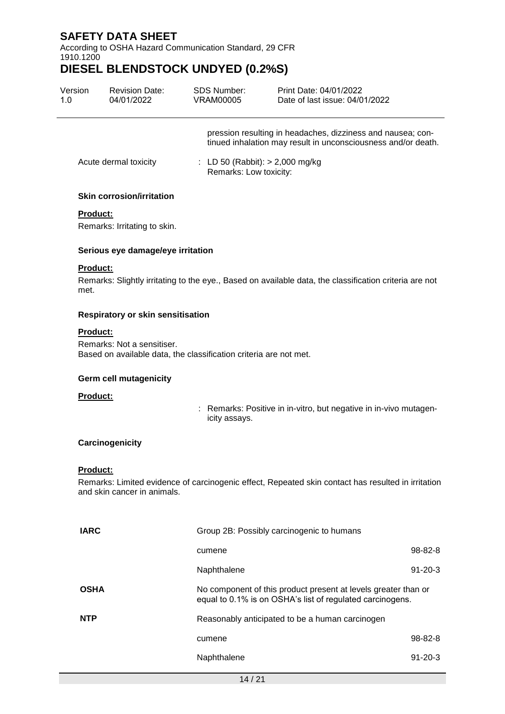According to OSHA Hazard Communication Standard, 29 CFR 1910.1200

# **DIESEL BLENDSTOCK UNDYED (0.2%S)**

| Version<br>1.0 | <b>Revision Date:</b><br>04/01/2022 | SDS Number:<br>VRAM00005                                    | Print Date: 04/01/2022<br>Date of last issue: 04/01/2022                                                                     |
|----------------|-------------------------------------|-------------------------------------------------------------|------------------------------------------------------------------------------------------------------------------------------|
|                |                                     |                                                             | pression resulting in headaches, dizziness and nausea; con-<br>tinued inhalation may result in unconsciousness and/or death. |
|                | Acute dermal toxicity               | : LD 50 (Rabbit): $> 2,000$ mg/kg<br>Remarks: Low toxicity: |                                                                                                                              |

### **Skin corrosion/irritation**

#### **Product:**

Remarks: Irritating to skin.

#### **Serious eye damage/eye irritation**

#### **Product:**

Remarks: Slightly irritating to the eye., Based on available data, the classification criteria are not met.

#### **Respiratory or skin sensitisation**

#### **Product:**

Remarks: Not a sensitiser. Based on available data, the classification criteria are not met.

#### **Germ cell mutagenicity**

#### **Product:**

: Remarks: Positive in in-vitro, but negative in in-vivo mutagenicity assays.

#### **Carcinogenicity**

#### **Product:**

Remarks: Limited evidence of carcinogenic effect, Repeated skin contact has resulted in irritation and skin cancer in animals.

| <b>IARC</b> | Group 2B: Possibly carcinogenic to humans                                                                                   |               |
|-------------|-----------------------------------------------------------------------------------------------------------------------------|---------------|
|             | cumene                                                                                                                      | $98 - 82 - 8$ |
|             | Naphthalene                                                                                                                 | $91 - 20 - 3$ |
| <b>OSHA</b> | No component of this product present at levels greater than or<br>equal to 0.1% is on OSHA's list of regulated carcinogens. |               |
| <b>NTP</b>  | Reasonably anticipated to be a human carcinogen                                                                             |               |
|             | cumene                                                                                                                      | $98 - 82 - 8$ |
|             | Naphthalene                                                                                                                 | $91 - 20 - 3$ |
|             |                                                                                                                             |               |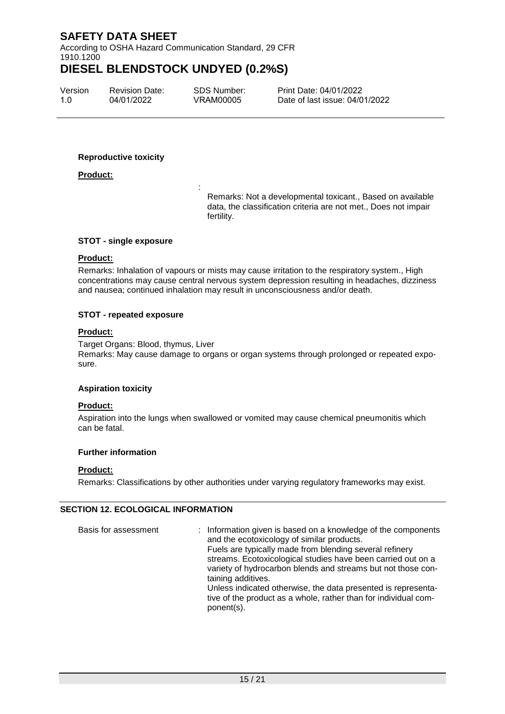According to OSHA Hazard Communication Standard, 29 CFR 1910.1200

# **DIESEL BLENDSTOCK UNDYED (0.2%S)**

:

Version 1.0 Revision Date: 04/01/2022

SDS Number: VRAM00005

Print Date: 04/01/2022 Date of last issue: 04/01/2022

#### **Reproductive toxicity**

#### **Product:**

Remarks: Not a developmental toxicant., Based on available data, the classification criteria are not met., Does not impair fertility.

#### **STOT - single exposure**

#### **Product:**

Remarks: Inhalation of vapours or mists may cause irritation to the respiratory system., High concentrations may cause central nervous system depression resulting in headaches, dizziness and nausea; continued inhalation may result in unconsciousness and/or death.

#### **STOT - repeated exposure**

#### **Product:**

Target Organs: Blood, thymus, Liver Remarks: May cause damage to organs or organ systems through prolonged or repeated exposure.

#### **Aspiration toxicity**

#### **Product:**

Aspiration into the lungs when swallowed or vomited may cause chemical pneumonitis which can be fatal.

#### **Further information**

#### **Product:**

Remarks: Classifications by other authorities under varying regulatory frameworks may exist.

#### **SECTION 12. ECOLOGICAL INFORMATION**

| Basis for assessment | : Information given is based on a knowledge of the components<br>and the ecotoxicology of similar products.                                        |
|----------------------|----------------------------------------------------------------------------------------------------------------------------------------------------|
|                      | Fuels are typically made from blending several refinery                                                                                            |
|                      | streams. Ecotoxicological studies have been carried out on a<br>variety of hydrocarbon blends and streams but not those con-<br>taining additives. |
|                      | Unless indicated otherwise, the data presented is representa-<br>tive of the product as a whole, rather than for individual com-<br>ponent(s).     |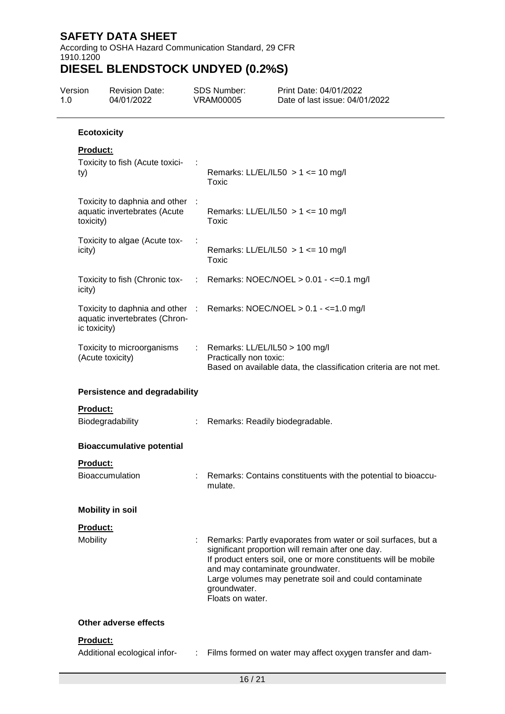According to OSHA Hazard Communication Standard, 29 CFR 1910.1200

| Version<br>1.0 |                    | <b>Revision Date:</b><br>04/01/2022                             |    | <b>SDS Number:</b><br><b>VRAM00005</b>                               | Print Date: 04/01/2022<br>Date of last issue: 04/01/2022                                                                                                                                                                                        |
|----------------|--------------------|-----------------------------------------------------------------|----|----------------------------------------------------------------------|-------------------------------------------------------------------------------------------------------------------------------------------------------------------------------------------------------------------------------------------------|
|                | <b>Ecotoxicity</b> |                                                                 |    |                                                                      |                                                                                                                                                                                                                                                 |
|                | <b>Product:</b>    |                                                                 |    |                                                                      |                                                                                                                                                                                                                                                 |
|                | ty)                | Toxicity to fish (Acute toxici-                                 |    | Toxic                                                                | Remarks: LL/EL/IL50 $> 1$ <= 10 mg/l                                                                                                                                                                                                            |
|                | toxicity)          | Toxicity to daphnia and other :<br>aquatic invertebrates (Acute |    | Toxic                                                                | Remarks: LL/EL/IL50 $> 1$ <= 10 mg/l                                                                                                                                                                                                            |
|                | icity)             | Toxicity to algae (Acute tox-                                   |    | Toxic                                                                | Remarks: LL/EL/IL50 $> 1$ <= 10 mg/l                                                                                                                                                                                                            |
|                | icity)             | Toxicity to fish (Chronic tox-                                  | ÷. |                                                                      | Remarks: NOEC/NOEL > 0.01 - <= 0.1 mg/l                                                                                                                                                                                                         |
|                | ic toxicity)       | aquatic invertebrates (Chron-                                   |    |                                                                      | Toxicity to daphnia and other : Remarks: NOEC/NOEL > 0.1 - <= 1.0 mg/l                                                                                                                                                                          |
|                |                    | Toxicity to microorganisms<br>(Acute toxicity)                  |    | : Remarks: $LL/EL/IL50 > 100$ mg/l<br>Practically non toxic:         | Based on available data, the classification criteria are not met.                                                                                                                                                                               |
|                |                    | <b>Persistence and degradability</b>                            |    |                                                                      |                                                                                                                                                                                                                                                 |
|                | Product:           | Biodegradability                                                |    | Remarks: Readily biodegradable.                                      |                                                                                                                                                                                                                                                 |
|                |                    | <b>Bioaccumulative potential</b>                                |    |                                                                      |                                                                                                                                                                                                                                                 |
|                | Product:           |                                                                 |    |                                                                      |                                                                                                                                                                                                                                                 |
|                |                    | <b>Bioaccumulation</b>                                          |    | mulate.                                                              | Remarks: Contains constituents with the potential to bioaccu-                                                                                                                                                                                   |
|                |                    | <b>Mobility in soil</b>                                         |    |                                                                      |                                                                                                                                                                                                                                                 |
|                | Product:           |                                                                 |    |                                                                      |                                                                                                                                                                                                                                                 |
|                | Mobility           |                                                                 |    | and may contaminate groundwater.<br>groundwater.<br>Floats on water. | Remarks: Partly evaporates from water or soil surfaces, but a<br>significant proportion will remain after one day.<br>If product enters soil, one or more constituents will be mobile<br>Large volumes may penetrate soil and could contaminate |
|                |                    | Other adverse effects                                           |    |                                                                      |                                                                                                                                                                                                                                                 |
|                | Product:           |                                                                 |    |                                                                      |                                                                                                                                                                                                                                                 |
|                |                    | Additional ecological infor-                                    | ÷. |                                                                      | Films formed on water may affect oxygen transfer and dam-                                                                                                                                                                                       |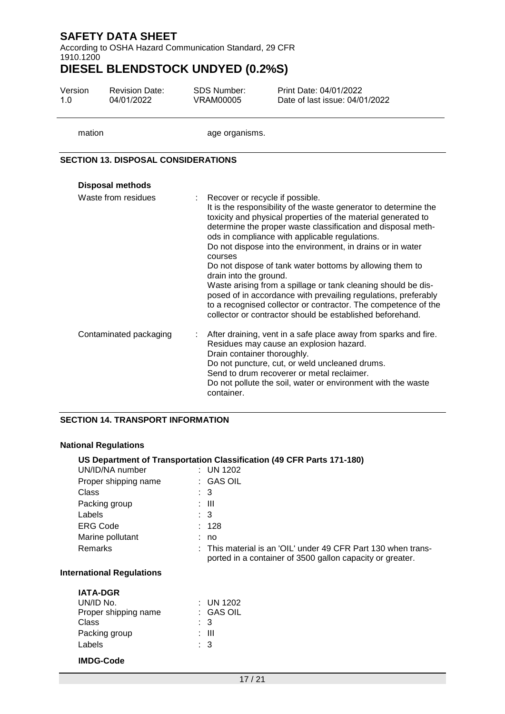According to OSHA Hazard Communication Standard, 29 CFR 1910.1200

# **DIESEL BLENDSTOCK UNDYED (0.2%S)**

| Version | <b>Revision Date:</b> | SDS Number: | Print Date: 04/01/2022         |
|---------|-----------------------|-------------|--------------------------------|
| 1.0     | 04/01/2022            | VRAM00005   | Date of last issue: 04/01/2022 |

mation age organisms.

#### **SECTION 13. DISPOSAL CONSIDERATIONS**

| <b>Disposal methods</b> |                                                                                                                                                                                                                                                                                                                                                                                                                                                                                                                                                                                                                                                                                                                           |
|-------------------------|---------------------------------------------------------------------------------------------------------------------------------------------------------------------------------------------------------------------------------------------------------------------------------------------------------------------------------------------------------------------------------------------------------------------------------------------------------------------------------------------------------------------------------------------------------------------------------------------------------------------------------------------------------------------------------------------------------------------------|
| Waste from residues     | : Recover or recycle if possible.<br>It is the responsibility of the waste generator to determine the<br>toxicity and physical properties of the material generated to<br>determine the proper waste classification and disposal meth-<br>ods in compliance with applicable regulations.<br>Do not dispose into the environment, in drains or in water<br>courses<br>Do not dispose of tank water bottoms by allowing them to<br>drain into the ground.<br>Waste arising from a spillage or tank cleaning should be dis-<br>posed of in accordance with prevailing regulations, preferably<br>to a recognised collector or contractor. The competence of the<br>collector or contractor should be established beforehand. |
| Contaminated packaging  | After draining, vent in a safe place away from sparks and fire.<br>Residues may cause an explosion hazard.<br>Drain container thoroughly.<br>Do not puncture, cut, or weld uncleaned drums.<br>Send to drum recoverer or metal reclaimer.<br>Do not pollute the soil, water or environment with the waste<br>container.                                                                                                                                                                                                                                                                                                                                                                                                   |

#### **SECTION 14. TRANSPORT INFORMATION**

Packing group : III Labels : 3

#### **National Regulations**

|                                  | US Department of Transportation Classification (49 CFR Parts 171-180)                                                      |
|----------------------------------|----------------------------------------------------------------------------------------------------------------------------|
| UN/ID/NA number                  | : UN 1202                                                                                                                  |
| Proper shipping name             | : GAS OIL                                                                                                                  |
| Class                            | : 3                                                                                                                        |
| Packing group                    | : III                                                                                                                      |
| Labels                           | : 3                                                                                                                        |
| <b>ERG Code</b>                  | : 128                                                                                                                      |
| Marine pollutant                 | : no                                                                                                                       |
| <b>Remarks</b>                   | : This material is an 'OIL' under 49 CFR Part 130 when trans-<br>ported in a container of 3500 gallon capacity or greater. |
| <b>International Regulations</b> |                                                                                                                            |
| <b>IATA-DGR</b>                  |                                                                                                                            |
| UN/ID No.                        | : UN 1202                                                                                                                  |
| Proper shipping name             | $\pm$ GAS OIL                                                                                                              |
| Class                            | 3                                                                                                                          |

#### **IMDG-Code**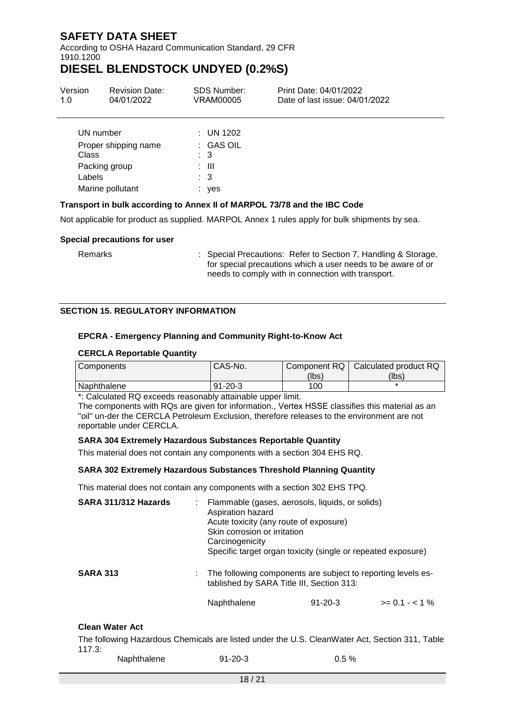According to OSHA Hazard Communication Standard, 29 CFR 1910.1200

# **DIESEL BLENDSTOCK UNDYED (0.2%S)**

| Version<br>1.0 | <b>Revision Date:</b><br>04/01/2022 | <b>SDS Number:</b><br>VRAM00005        | Print Date: 04/01/2022<br>Date of last issue: 04/01/2022 |
|----------------|-------------------------------------|----------------------------------------|----------------------------------------------------------|
|                | UN number                           | : UN 1202                              |                                                          |
| <b>Class</b>   | Proper shipping name                | $\therefore$ GAS OIL<br>$\therefore$ 3 |                                                          |
|                | Packing group                       | : III                                  |                                                          |
| Labels         |                                     | $\therefore$ 3                         |                                                          |

#### **Transport in bulk according to Annex II of MARPOL 73/78 and the IBC Code**

Not applicable for product as supplied. MARPOL Annex 1 rules apply for bulk shipments by sea.

#### **Special precautions for user**

Remarks : Special Precautions: Refer to Section 7, Handling & Storage, for special precautions which a user needs to be aware of or needs to comply with in connection with transport.

#### **SECTION 15. REGULATORY INFORMATION**

Marine pollutant : yes

#### **EPCRA - Emergency Planning and Community Right-to-Know Act**

#### **CERCLA Reportable Quantity**

| Components               | <sup>I</sup> CAS-No. |       | Component RQ   Calculated product RQ |
|--------------------------|----------------------|-------|--------------------------------------|
|                          |                      | (lbs) | (lbs)                                |
| <sup>1</sup> Naphthalene | $91 - 20 - 3$        | 100   |                                      |

\*: Calculated RQ exceeds reasonably attainable upper limit.

The components with RQs are given for information., Vertex HSSE classifies this material as an "oil" un-der the CERCLA Petroleum Exclusion, therefore releases to the environment are not reportable under CERCLA.

#### **SARA 304 Extremely Hazardous Substances Reportable Quantity**

This material does not contain any components with a section 304 EHS RQ.

#### **SARA 302 Extremely Hazardous Substances Threshold Planning Quantity**

This material does not contain any components with a section 302 EHS TPQ.

| SARA 311/312 Hazards | Flammable (gases, aerosols, liquids, or solids)<br>Aspiration hazard<br>Acute toxicity (any route of exposure)<br>Skin corrosion or irritation<br>Carcinogenicity<br>Specific target organ toxicity (single or repeated exposure) |               |                  |
|----------------------|-----------------------------------------------------------------------------------------------------------------------------------------------------------------------------------------------------------------------------------|---------------|------------------|
| <b>SARA 313</b>      | The following components are subject to reporting levels es-<br>tablished by SARA Title III, Section 313:                                                                                                                         |               |                  |
|                      | Naphthalene                                                                                                                                                                                                                       | $91 - 20 - 3$ | $>= 0.1 - < 1\%$ |
|                      |                                                                                                                                                                                                                                   |               |                  |

#### **Clean Water Act**

The following Hazardous Chemicals are listed under the U.S. CleanWater Act, Section 311, Table 117.3:

|  | Naphthalene | $91 - 20 - 3$ | $0.5\,\%$ |
|--|-------------|---------------|-----------|
|--|-------------|---------------|-----------|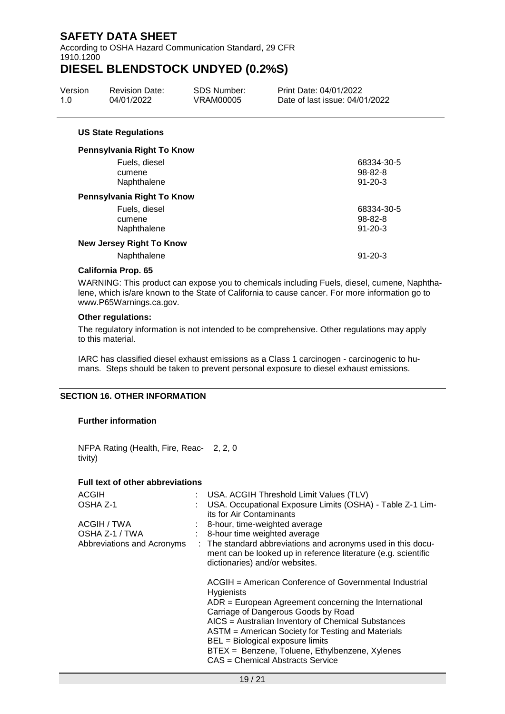According to OSHA Hazard Communication Standard, 29 CFR 1910.1200

# **DIESEL BLENDSTOCK UNDYED (0.2%S)**

| Version | <b>Revision Date:</b> | SDS Number: | Print Date: 04/01/2022         |
|---------|-----------------------|-------------|--------------------------------|
| 1.0     | 04/01/2022            | VRAM00005   | Date of last issue: 04/01/2022 |

#### **US State Regulations**

| Pennsylvania Right To Know      |               |  |  |  |
|---------------------------------|---------------|--|--|--|
| Fuels, diesel                   | 68334-30-5    |  |  |  |
| cumene                          | $98 - 82 - 8$ |  |  |  |
| Naphthalene                     | $91 - 20 - 3$ |  |  |  |
| Pennsylvania Right To Know      |               |  |  |  |
| Fuels, diesel                   | 68334-30-5    |  |  |  |
| cumene                          | $98 - 82 - 8$ |  |  |  |
| Naphthalene                     | $91 - 20 - 3$ |  |  |  |
| <b>New Jersey Right To Know</b> |               |  |  |  |
| Naphthalene                     | $91 - 20 - 3$ |  |  |  |

#### **California Prop. 65**

WARNING: This product can expose you to chemicals including Fuels, diesel, cumene, Naphthalene, which is/are known to the State of California to cause cancer. For more information go to www.P65Warnings.ca.gov.

#### **Other regulations:**

The regulatory information is not intended to be comprehensive. Other regulations may apply to this material.

IARC has classified diesel exhaust emissions as a Class 1 carcinogen - carcinogenic to humans. Steps should be taken to prevent personal exposure to diesel exhaust emissions.

#### **SECTION 16. OTHER INFORMATION**

#### **Further information**

NFPA Rating (Health, Fire, Reac-2, 2, 0 tivity)

#### **Full text of other abbreviations**

| <b>ACGIH</b>               |  | : USA. ACGIH Threshold Limit Values (TLV)                      |
|----------------------------|--|----------------------------------------------------------------|
| OSHA Z-1                   |  | : USA. Occupational Exposure Limits (OSHA) - Table Z-1 Lim-    |
|                            |  | its for Air Contaminants                                       |
| ACGIH / TWA                |  | $\therefore$ 8-hour, time-weighted average                     |
| OSHA Z-1 / TWA             |  | : 8-hour time weighted average                                 |
| Abbreviations and Acronyms |  | : The standard abbreviations and acronyms used in this docu-   |
|                            |  | ment can be looked up in reference literature (e.g. scientific |
|                            |  | dictionaries) and/or websites.                                 |
|                            |  |                                                                |
|                            |  | ACGIH = American Conference of Governmental Industrial         |
|                            |  | <b>Hygienists</b>                                              |
|                            |  | $ADR = European Agreement concerning the International$        |
|                            |  | Carriage of Dangerous Goods by Road                            |
|                            |  | AICS = Australian Inventory of Chemical Substances             |
|                            |  | ASTM = American Society for Testing and Materials              |
|                            |  | BEL = Biological exposure limits                               |
|                            |  | BTEX = Benzene, Toluene, Ethylbenzene, Xylenes                 |
|                            |  | <b>CAS</b> = Chemical Abstracts Service                        |
|                            |  |                                                                |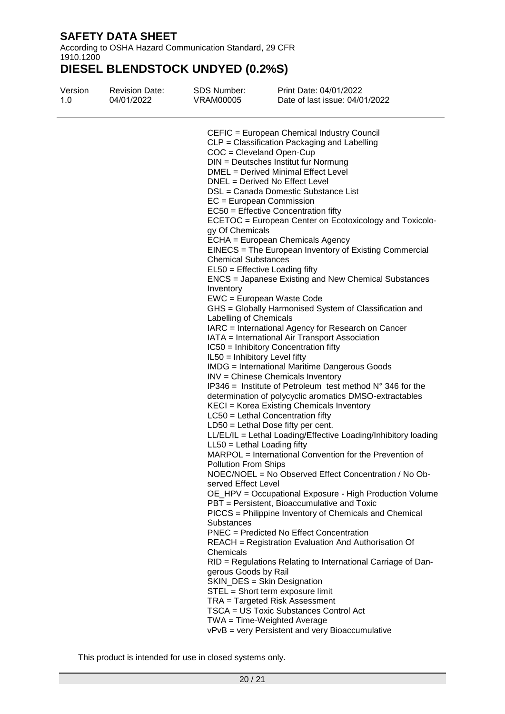According to OSHA Hazard Communication Standard, 29 CFR 1910.1200

# **DIESEL BLENDSTOCK UNDYED (0.2%S)**

| Version<br>1.0 | <b>Revision Date:</b><br>04/01/2022 | SDS Number:<br>VRAM00005                                                                                                                                                                                                                                                                          | Print Date: 04/01/2022<br>Date of last issue: 04/01/2022                                                                                                                                                                                                                                                                                                                                                                                                                                                                                                                                                                                                                                                                                                                                                                                                                                                                                                                                                                                                                                                                                                                                                                                                                                                                                                                                                                                                                                                                                                                                                                                                                                          |
|----------------|-------------------------------------|---------------------------------------------------------------------------------------------------------------------------------------------------------------------------------------------------------------------------------------------------------------------------------------------------|---------------------------------------------------------------------------------------------------------------------------------------------------------------------------------------------------------------------------------------------------------------------------------------------------------------------------------------------------------------------------------------------------------------------------------------------------------------------------------------------------------------------------------------------------------------------------------------------------------------------------------------------------------------------------------------------------------------------------------------------------------------------------------------------------------------------------------------------------------------------------------------------------------------------------------------------------------------------------------------------------------------------------------------------------------------------------------------------------------------------------------------------------------------------------------------------------------------------------------------------------------------------------------------------------------------------------------------------------------------------------------------------------------------------------------------------------------------------------------------------------------------------------------------------------------------------------------------------------------------------------------------------------------------------------------------------------|
|                |                                     | $COC = Cleveland Open-Cup$<br>EC = European Commission<br>gy Of Chemicals<br><b>Chemical Substances</b><br>Inventory<br>Labelling of Chemicals<br>IL50 = Inhibitory Level fifty<br>$LL50 = Lethal$ Loading fifty<br><b>Pollution From Ships</b><br>served Effect Level<br>Substances<br>Chemicals | CEFIC = European Chemical Industry Council<br>CLP = Classification Packaging and Labelling<br>DIN = Deutsches Institut fur Normung<br>DMEL = Derived Minimal Effect Level<br>DNEL = Derived No Effect Level<br>DSL = Canada Domestic Substance List<br>EC50 = Effective Concentration fifty<br>ECETOC = European Center on Ecotoxicology and Toxicolo-<br>ECHA = European Chemicals Agency<br>EINECS = The European Inventory of Existing Commercial<br>EL50 = Effective Loading fifty<br><b>ENCS</b> = Japanese Existing and New Chemical Substances<br>EWC = European Waste Code<br>GHS = Globally Harmonised System of Classification and<br>IARC = International Agency for Research on Cancer<br>IATA = International Air Transport Association<br>IC50 = Inhibitory Concentration fifty<br><b>IMDG</b> = International Maritime Dangerous Goods<br>INV = Chinese Chemicals Inventory<br>IP346 = Institute of Petroleum test method $N^{\circ}$ 346 for the<br>determination of polycyclic aromatics DMSO-extractables<br>KECI = Korea Existing Chemicals Inventory<br>LC50 = Lethal Concentration fifty<br>$LD50 = Lethal Does fifty per cent.$<br>LL/EL/IL = Lethal Loading/Effective Loading/Inhibitory loading<br>MARPOL = International Convention for the Prevention of<br>NOEC/NOEL = No Observed Effect Concentration / No Ob-<br>OE_HPV = Occupational Exposure - High Production Volume<br>PBT = Persistent, Bioaccumulative and Toxic<br>PICCS = Philippine Inventory of Chemicals and Chemical<br><b>PNEC</b> = Predicted No Effect Concentration<br><b>REACH</b> = Registration Evaluation And Authorisation Of<br>RID = Regulations Relating to International Carriage of Dan- |
|                |                                     | gerous Goods by Rail                                                                                                                                                                                                                                                                              | SKIN_DES = Skin Designation<br>STEL = Short term exposure limit<br>TRA = Targeted Risk Assessment<br>TSCA = US Toxic Substances Control Act                                                                                                                                                                                                                                                                                                                                                                                                                                                                                                                                                                                                                                                                                                                                                                                                                                                                                                                                                                                                                                                                                                                                                                                                                                                                                                                                                                                                                                                                                                                                                       |
|                |                                     |                                                                                                                                                                                                                                                                                                   | TWA = Time-Weighted Average<br>vPvB = very Persistent and very Bioaccumulative                                                                                                                                                                                                                                                                                                                                                                                                                                                                                                                                                                                                                                                                                                                                                                                                                                                                                                                                                                                                                                                                                                                                                                                                                                                                                                                                                                                                                                                                                                                                                                                                                    |

This product is intended for use in closed systems only.